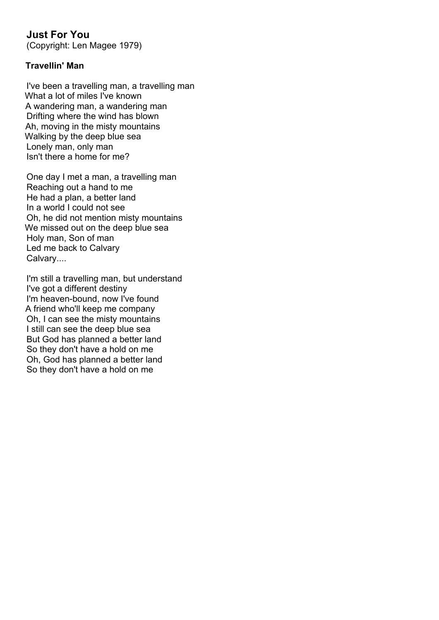# **Just For You**

(Copyright: Len Magee 1979)

## **Travellin' Man**

I've been a travelling man, a travelling man What a lot of miles I've known A wandering man, a wandering man Drifting where the wind has blown Ah, moving in the misty mountains Walking by the deep blue sea Lonely man, only man Isn't there a home for me?

One day I met a man, a travelling man Reaching out a hand to me He had a plan, a better land In a world I could not see Oh, he did not mention misty mountains We missed out on the deep blue sea Holy man, Son of man Led me back to Calvary Calvary....

I'm still a travelling man, but understand I've got a different destiny I'm heaven-bound, now I've found A friend who'll keep me company Oh, I can see the misty mountains I still can see the deep blue sea But God has planned a better land So they don't have a hold on me Oh, God has planned a better land So they don't have a hold on me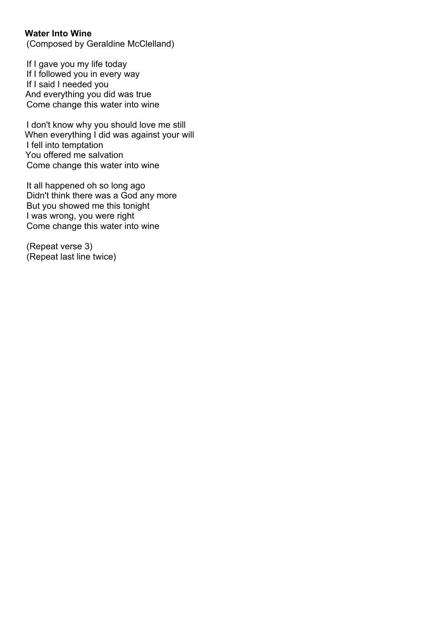#### **Water Into Wine**

(Composed by Geraldine McClelland)

If I gave you my life today If I followed you in every way If I said I needed you And everything you did was true Come change this water into wine

I don't know why you should love me still When everything I did was against your will I fell into temptation You offered me salvation Come change this water into wine

It all happened oh so long ago Didn't think there was a God any more But you showed me this tonight I was wrong, you were right Come change this water into wine

(Repeat verse 3) (Repeat last line twice)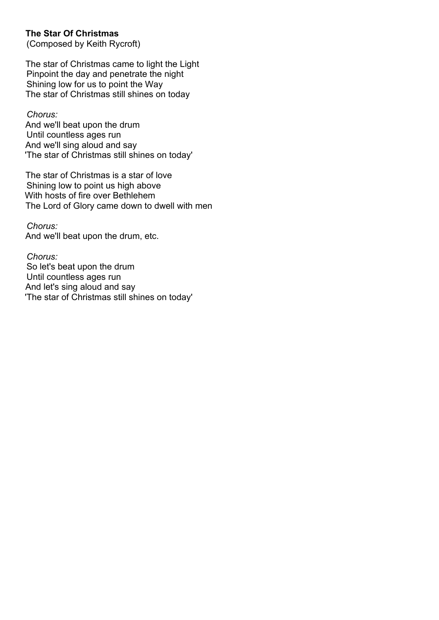## **The Star Of Christmas**

(Composed by Keith Rycroft)

The star of Christmas came to light the Light Pinpoint the day and penetrate the night Shining low for us to point the Way The star of Christmas still shines on today

#### *Chorus:*

And we'll beat upon the drum Until countless ages run And we'll sing aloud and say 'The star of Christmas still shines on today'

The star of Christmas is a star of love Shining low to point us high above With hosts of fire over Bethlehem The Lord of Glory came down to dwell with men

*Chorus:*

And we'll beat upon the drum, etc.

*Chorus:* So let's beat upon the drum Until countless ages run And let's sing aloud and say 'The star of Christmas still shines on today'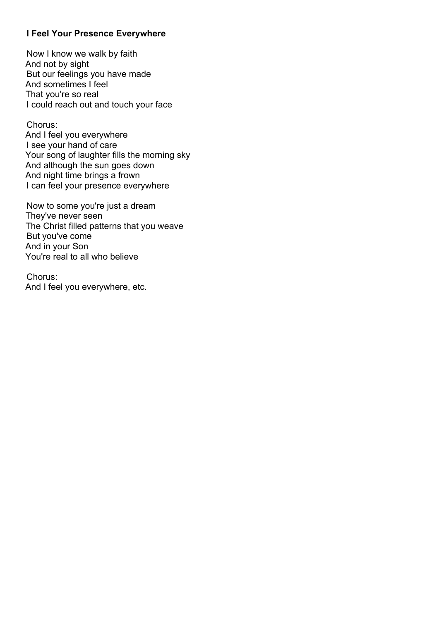## **I Feel Your Presence Everywhere**

Now I know we walk by faith And not by sight But our feelings you have made And sometimes I feel That you're so real I could reach out and touch your face

Chorus:

And I feel you everywhere I see your hand of care Your song of laughter fills the morning sky And although the sun goes down And night time brings a frown I can feel your presence everywhere

Now to some you're just a dream They've never seen The Christ filled patterns that you weave But you've come And in your Son You're real to all who believe

Chorus: And I feel you everywhere, etc.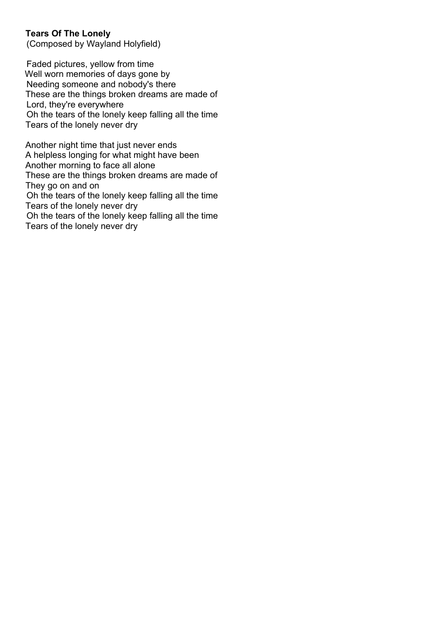## **Tears Of The Lonely**

(Composed by Wayland Holyfield)

Faded pictures, yellow from time Well worn memories of days gone by Needing someone and nobody's there These are the things broken dreams are made of Lord, they're everywhere Oh the tears of the lonely keep falling all the time Tears of the lonely never dry

Another night time that just never ends A helpless longing for what might have been Another morning to face all alone These are the things broken dreams are made of They go on and on Oh the tears of the lonely keep falling all the time Tears of the lonely never dry Oh the tears of the lonely keep falling all the time Tears of the lonely never dry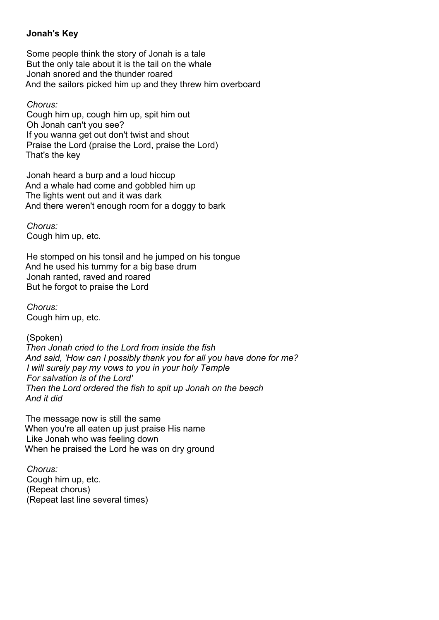## **Jonah's Key**

Some people think the story of Jonah is a tale But the only tale about it is the tail on the whale Jonah snored and the thunder roared And the sailors picked him up and they threw him overboard

*Chorus:*

Cough him up, cough him up, spit him out Oh Jonah can't you see? If you wanna get out don't twist and shout Praise the Lord (praise the Lord, praise the Lord) That's the key

Jonah heard a burp and a loud hiccup And a whale had come and gobbled him up The lights went out and it was dark And there weren't enough room for a doggy to bark

*Chorus:* Cough him up, etc.

He stomped on his tonsil and he jumped on his tongue And he used his tummy for a big base drum Jonah ranted, raved and roared But he forgot to praise the Lord

*Chorus:* Cough him up, etc.

(Spoken)

*Then Jonah cried to the Lord from inside the fish And said, 'How can I possibly thank you for all you have done for me? I will surely pay my vows to you in your holy Temple For salvation is of the Lord' Then the Lord ordered the fish to spit up Jonah on the beach And it did*

The message now is still the same When you're all eaten up just praise His name Like Jonah who was feeling down When he praised the Lord he was on dry ground

*Chorus:* Cough him up, etc. (Repeat chorus) (Repeat last line several times)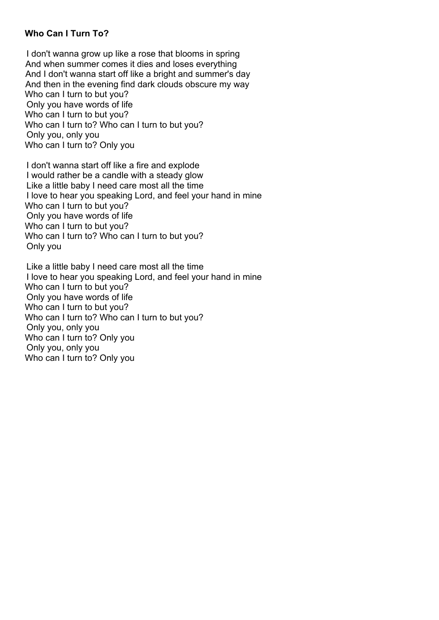#### **Who Can I Turn To?**

I don't wanna grow up like a rose that blooms in spring And when summer comes it dies and loses everything And I don't wanna start off like a bright and summer's day And then in the evening find dark clouds obscure my way Who can I turn to but you? Only you have words of life Who can I turn to but you? Who can I turn to? Who can I turn to but you? Only you, only you Who can I turn to? Only you

I don't wanna start off like a fire and explode I would rather be a candle with a steady glow Like a little baby I need care most all the time I love to hear you speaking Lord, and feel your hand in mine Who can I turn to but you? Only you have words of life Who can I turn to but you? Who can I turn to? Who can I turn to but you? Only you

Like a little baby I need care most all the time I love to hear you speaking Lord, and feel your hand in mine Who can I turn to but you? Only you have words of life Who can I turn to but you? Who can I turn to? Who can I turn to but you? Only you, only you Who can I turn to? Only you Only you, only you Who can I turn to? Only you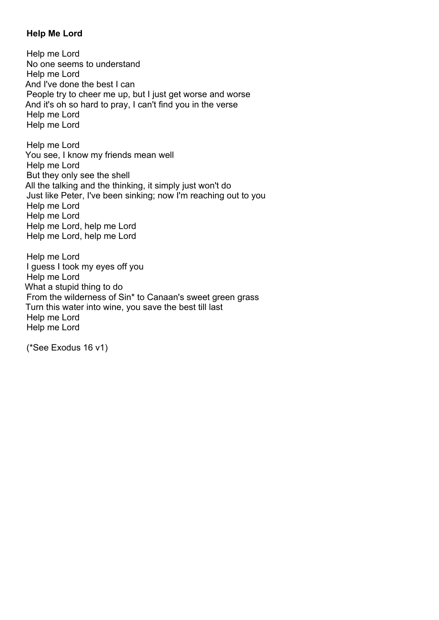## **Help Me Lord**

Help me Lord No one seems to understand Help me Lord And I've done the best I can People try to cheer me up, but I just get worse and worse And it's oh so hard to pray, I can't find you in the verse Help me Lord Help me Lord Help me Lord You see, I know my friends mean well Help me Lord But they only see the shell All the talking and the thinking, it simply just won't do Just like Peter, I've been sinking; now I'm reaching out to you Help me Lord Help me Lord Help me Lord, help me Lord Help me Lord, help me Lord Help me Lord I guess I took my eyes off you Help me Lord What a stupid thing to do

From the wilderness of Sin\* to Canaan's sweet green grass Turn this water into wine, you save the best till last Help me Lord Help me Lord

(\*See Exodus 16 v1)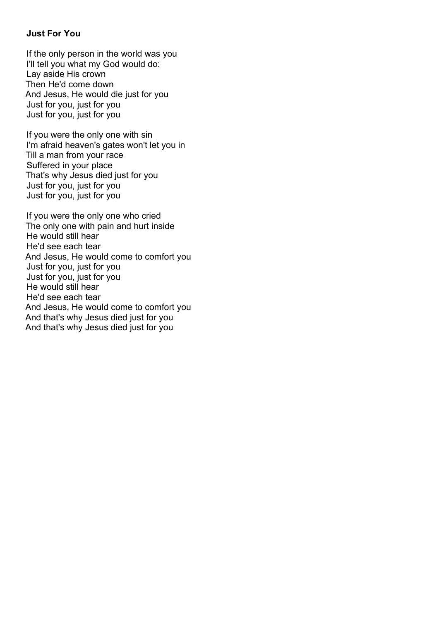## **Just For You**

If the only person in the world was you I'll tell you what my God would do: Lay aside His crown Then He'd come down And Jesus, He would die just for you Just for you, just for you Just for you, just for you

If you were the only one with sin I'm afraid heaven's gates won't let you in Till a man from your race Suffered in your place That's why Jesus died just for you Just for you, just for you Just for you, just for you

If you were the only one who cried The only one with pain and hurt inside He would still hear He'd see each tear And Jesus, He would come to comfort you Just for you, just for you Just for you, just for you He would still hear He'd see each tear And Jesus, He would come to comfort you And that's why Jesus died just for you And that's why Jesus died just for you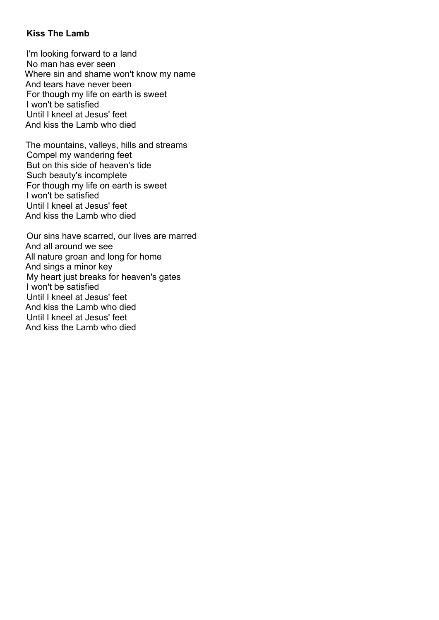### **Kiss The Lamb**

I'm looking forward to a land No man has ever seen Where sin and shame won't know my name And tears have never been For though my life on earth is sweet I won't be satisfied Until I kneel at Jesus' feet And kiss the Lamb who died

The mountains, valleys, hills and streams Compel my wandering feet But on this side of heaven's tide Such beauty's incomplete For though my life on earth is sweet I won't be satisfied Until I kneel at Jesus' feet And kiss the Lamb who died

Our sins have scarred, our lives are marred And all around we see All nature groan and long for home And sings a minor key My heart just breaks for heaven's gates I won't be satisfied Until I kneel at Jesus' feet And kiss the Lamb who died Until I kneel at Jesus' feet And kiss the Lamb who died